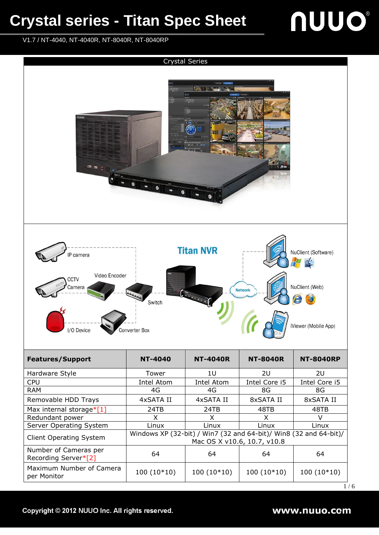### **Crystal series - Titan Spec Sheet**

## **NUUO®**

V1.7 / NT-4040, NT-4040R, NT-8040R, NT-8040RP



 $1/6$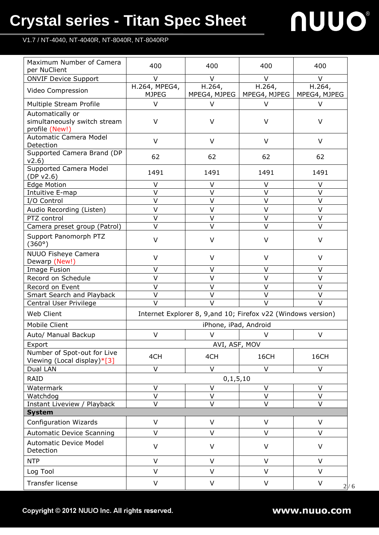### **Crystal series - Titan Spec Sheet**

# nuuo

V1.7 / NT-4040, NT-4040R, NT-8040R, NT-8040RP

| Maximum Number of Camera<br>per NuClient                           | 400                           | 400                                                           | 400                    | 400                    |  |  |
|--------------------------------------------------------------------|-------------------------------|---------------------------------------------------------------|------------------------|------------------------|--|--|
| <b>ONVIF Device Support</b>                                        | V                             | V                                                             | $\vee$                 | $\vee$                 |  |  |
| Video Compression                                                  | H.264, MPEG4,<br><b>MJPEG</b> | H.264,<br>MPEG4, MJPEG                                        | H.264,<br>MPEG4, MJPEG | H.264,<br>MPEG4, MJPEG |  |  |
| Multiple Stream Profile                                            | V                             | V                                                             | $\vee$                 | $\vee$                 |  |  |
| Automatically or<br>simultaneously switch stream<br>profile (New!) | V                             | V                                                             | V                      | V                      |  |  |
| <b>Automatic Camera Model</b><br>Detection                         | $\vee$                        | $\vee$                                                        | $\vee$                 | $\vee$                 |  |  |
| Supported Camera Brand (DP<br>v2.6)                                | 62                            | 62                                                            | 62                     | 62                     |  |  |
| Supported Camera Model<br>(DP v2.6)                                | 1491                          | 1491                                                          | 1491                   | 1491                   |  |  |
| <b>Edge Motion</b>                                                 | V                             | V                                                             | V                      | V                      |  |  |
| Intuitive E-map                                                    | $\vee$                        | $\vee$                                                        | $\vee$                 | $\vee$                 |  |  |
| I/O Control                                                        | $\vee$                        | V                                                             | $\vee$                 | $\vee$                 |  |  |
| Audio Recording (Listen)                                           | $\vee$                        | V                                                             | $\vee$                 | $\vee$                 |  |  |
| PTZ control                                                        | $\vee$                        | $\vee$                                                        | $\vee$                 | $\vee$                 |  |  |
| Camera preset group (Patrol)                                       | $\vee$                        | $\vee$                                                        | $\vee$                 | $\vee$                 |  |  |
| Support Panomorph PTZ<br>(360°)                                    | $\vee$                        | V                                                             | $\vee$                 | $\vee$                 |  |  |
| <b>NUUO Fisheye Camera</b><br>Dewarp (New!)                        | $\vee$                        | $\vee$                                                        | $\vee$                 | $\vee$                 |  |  |
| <b>Image Fusion</b>                                                | V                             | V                                                             | V                      | V                      |  |  |
| Record on Schedule                                                 | $\vee$                        | $\vee$                                                        | $\vee$                 | $\vee$                 |  |  |
| Record on Event                                                    | $\vee$                        | $\vee$                                                        | $\vee$                 | $\vee$                 |  |  |
| Smart Search and Playback                                          | V                             | $\vee$                                                        | $\vee$                 | $\vee$                 |  |  |
| Central User Privilege                                             | $\vee$                        | $\vee$                                                        | $\vee$                 | $\vee$                 |  |  |
| Web Client                                                         |                               | Internet Explorer 8, 9, and 10; Firefox v22 (Windows version) |                        |                        |  |  |
| <b>Mobile Client</b>                                               |                               | iPhone, iPad, Android                                         |                        |                        |  |  |
| Auto/ Manual Backup                                                | $\vee$                        | $\vee$                                                        | V                      | $\vee$                 |  |  |
| Export                                                             |                               | AVI, ASF, MOV                                                 |                        |                        |  |  |
| Number of Spot-out for Live<br>Viewing (Local display)*[3]         | 4CH                           | 4CH                                                           | 16CH                   | 16CH                   |  |  |
| Dual LAN                                                           | V                             | $\vee$                                                        | $\vee$                 | V                      |  |  |
| <b>RAID</b>                                                        |                               | 0, 1, 5, 10                                                   |                        |                        |  |  |
| Watermark                                                          | V                             | V                                                             | V                      | V                      |  |  |
| Watchdog                                                           | V                             | V                                                             | V                      | V                      |  |  |
| Instant Liveview / Playback                                        | $\vee$                        | $\vee$                                                        | $\vee$                 | $\vee$                 |  |  |
| <b>System</b>                                                      |                               |                                                               |                        |                        |  |  |
| <b>Configuration Wizards</b>                                       | $\vee$                        | $\vee$                                                        | V                      | $\vee$                 |  |  |
| <b>Automatic Device Scanning</b>                                   | $\vee$                        | $\vee$                                                        | $\vee$                 | $\vee$                 |  |  |
| <b>Automatic Device Model</b><br>Detection                         | $\vee$                        | $\vee$                                                        | $\vee$                 | $\vee$                 |  |  |
| <b>NTP</b>                                                         | $\vee$                        | $\vee$                                                        | $\vee$                 | $\vee$                 |  |  |
| Log Tool                                                           | V                             | $\vee$                                                        | V                      | $\vee$                 |  |  |
| Transfer license                                                   | V                             | $\vee$                                                        | $\vee$                 | V<br>2/6               |  |  |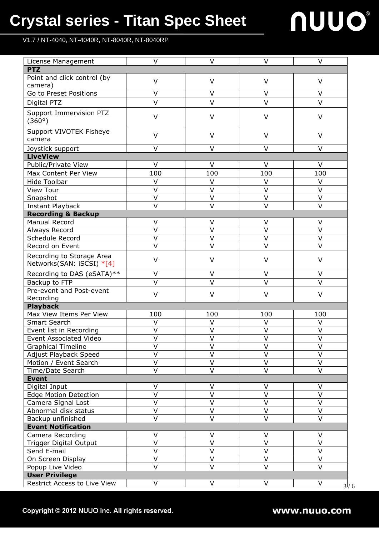### **Crystal series - Titan Spec Sheet**

V1.7 / NT-4040, NT-4040R, NT-8040R, NT-8040RP

# nuuo

| License Management                | $\vee$            | $\vee$                  | $\vee$            | V                       |  |  |
|-----------------------------------|-------------------|-------------------------|-------------------|-------------------------|--|--|
| <b>PTZ</b>                        |                   |                         |                   |                         |  |  |
| Point and click control (by       | $\vee$            | $\vee$                  | $\vee$            | $\vee$                  |  |  |
| camera)                           |                   |                         |                   |                         |  |  |
| Go to Preset Positions            | $\vee$            | $\vee$                  | $\vee$            | $\vee$                  |  |  |
| Digital PTZ                       | $\vee$            | $\vee$                  | $\vee$            | $\vee$                  |  |  |
| Support Immervision PTZ<br>(360°) | $\vee$            | $\vee$                  | $\vee$            | $\vee$                  |  |  |
| Support VIVOTEK Fisheye<br>camera | $\vee$            | $\vee$                  | $\vee$            | $\vee$                  |  |  |
| Joystick support                  | V                 | $\vee$                  | $\vee$            | $\vee$                  |  |  |
| <b>LiveView</b>                   |                   |                         |                   |                         |  |  |
| Public/Private View               | $\vee$            | $\vee$                  | $\vee$            | $\vee$                  |  |  |
| Max Content Per View              | 100               | 100                     | 100               | 100                     |  |  |
| <b>Hide Toolbar</b>               | $\vee$            | $\vee$                  | $\vee$            | V                       |  |  |
| <b>View Tour</b>                  | $\vee$            | $\vee$                  | $\vee$            | $\vee$                  |  |  |
| Snapshot                          | V                 | V                       | $\vee$            | $\vee$                  |  |  |
| <b>Instant Playback</b>           | $\vee$            | $\vee$                  | $\vee$            | $\vee$                  |  |  |
| <b>Recording &amp; Backup</b>     |                   |                         |                   |                         |  |  |
| Manual Record                     | $\vee$            | $\vee$                  | $\vee$            | $\vee$                  |  |  |
| Always Record                     | $\vee$            | $\vee$                  | $\vee$            | $\vee$                  |  |  |
| Schedule Record                   | $\vee$            | $\vee$                  | $\vee$            | $\vee$                  |  |  |
| Record on Event                   | $\vee$            | $\vee$                  | $\vee$            | $\overline{\vee}$       |  |  |
| Recording to Storage Area         | $\vee$            | $\vee$                  | $\vee$            | $\vee$                  |  |  |
| Networks(SAN: iSCSI) *[4]         |                   |                         |                   |                         |  |  |
| Recording to DAS (eSATA)**        | V                 | V                       | V                 | V                       |  |  |
| Backup to FTP                     | V                 | $\vee$                  | $\vee$            | $\vee$                  |  |  |
| Pre-event and Post-event          | $\vee$            | $\vee$                  | $\vee$            | V                       |  |  |
| Recording                         |                   |                         |                   |                         |  |  |
| <b>Playback</b>                   |                   |                         |                   |                         |  |  |
| Max View Items Per View           | 100               | 100                     | 100               | 100                     |  |  |
| Smart Search                      | $\vee$            | V                       | $\vee$            | $\vee$                  |  |  |
| Event list in Recording           | V                 | $\vee$                  | $\vee$            | $\vee$                  |  |  |
| Event Associated Video            | v                 | V                       | ۷                 | v                       |  |  |
| <b>Graphical Timeline</b>         | $\vee$            | $\overline{\mathsf{v}}$ | $\vee$            | $\vee$                  |  |  |
| Adjust Playback Speed             | V                 | V                       | V                 | V                       |  |  |
| Motion / Event Search             | V                 | $\vee$                  | $\vee$            | $\vee$                  |  |  |
| Time/Date Search                  | $\vee$            | $\vee$                  | $\vee$            | $\vee$                  |  |  |
| <b>Event</b>                      |                   |                         |                   |                         |  |  |
| Digital Input                     | $\vee$            | $\vee$                  | $\vee$            | $\vee$                  |  |  |
| <b>Edge Motion Detection</b>      | $\overline{\vee}$ | $\overline{\vee}$       | $\overline{\vee}$ | $\overline{\mathsf{v}}$ |  |  |
| Camera Signal Lost                | $\vee$            | $\vee$                  | $\vee$            | $\vee$                  |  |  |
| Abnormal disk status              | V                 | $\sf V$                 | $\vee$            | $\vee$                  |  |  |
| Backup unfinished                 | V                 | $\vee$                  | $\vee$            | $\vee$                  |  |  |
| <b>Event Notification</b>         |                   |                         |                   |                         |  |  |
| Camera Recording                  | V                 | $\vee$                  | $\vee$            | $\vee$                  |  |  |
| <b>Trigger Digital Output</b>     | $\vee$            | $\vee$                  | $\vee$            | $\vee$                  |  |  |
| Send E-mail                       | $\vee$            | $\vee$                  | $\vee$            | $\vee$                  |  |  |
| On Screen Display                 | $\vee$            | $\vee$                  | $\vee$            | $\vee$                  |  |  |
| Popup Live Video                  | $\vee$            | $\vee$                  | $\vee$            | $\vee$                  |  |  |
| <b>User Privilege</b>             |                   |                         |                   |                         |  |  |
| Restrict Access to Live View      | V                 | V                       | V                 | V<br>3/6                |  |  |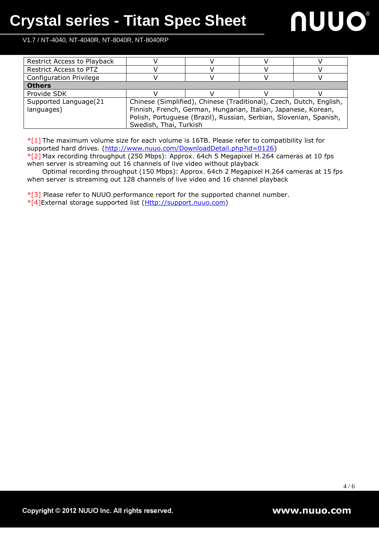

V1.7 / NT-4040, NT-4040R, NT-8040R, NT-8040RP

| Restrict Access to Playback   |                                                                     |  |  |  |
|-------------------------------|---------------------------------------------------------------------|--|--|--|
| <b>Restrict Access to PTZ</b> |                                                                     |  |  |  |
| Configuration Privilege       |                                                                     |  |  |  |
| <b>Others</b>                 |                                                                     |  |  |  |
| Provide SDK                   |                                                                     |  |  |  |
| Supported Language(21         | Chinese (Simplified), Chinese (Traditional), Czech, Dutch, English, |  |  |  |
| languages)                    | Finnish, French, German, Hungarian, Italian, Japanese, Korean,      |  |  |  |
|                               | Polish, Portuguese (Brazil), Russian, Serbian, Slovenian, Spanish,  |  |  |  |
|                               | Swedish, Thai, Turkish                                              |  |  |  |

 $*$ [1] The maximum volume size for each volume is 16TB. Please refer to compatibility list for supported hard drives. [\(http://www.nuuo.com/DownloadDetail.php?id=0126\)](http://www.nuuo.com/DownloadDetail.php?id=0126)

\*[2] Max recording throughput (250 Mbps): Approx. 64ch 5 Megapixel H.264 cameras at 10 fps when server is streaming out 16 channels of live video without playback

Optimal recording throughput (150 Mbps): Approx. 64ch 2 Megapixel H.264 cameras at 15 fps when server is streaming out 128 channels of live video and 16 channel playback

 $*$ [3] Please refer to NUUO performance report for the supported channel number.

\*[4]External storage supported list [\(Http://support.nuuo.com\)](http://support.nuuo.com/)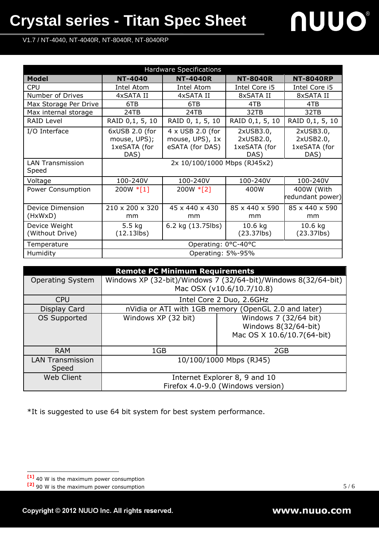V1.7 / NT-4040, NT-4040R, NT-8040R, NT-8040RP

| Hardware Specifications          |                                                        |                                                        |                                                |                                                |  |  |
|----------------------------------|--------------------------------------------------------|--------------------------------------------------------|------------------------------------------------|------------------------------------------------|--|--|
| Model                            | <b>NT-4040</b>                                         | <b>NT-4040R</b>                                        | <b>NT-8040R</b>                                | <b>NT-8040RP</b>                               |  |  |
| <b>CPU</b>                       | Intel Atom                                             | Intel Atom                                             | Intel Core i5                                  | Intel Core i5                                  |  |  |
| Number of Drives                 | 4xSATA II                                              | 4xSATA II                                              | 8xSATA II                                      | 8xSATA II                                      |  |  |
| Max Storage Per Drive            | 6TB                                                    | 6TB                                                    | 4TB                                            | 4TB                                            |  |  |
| Max internal storage             | 24TB                                                   | 24TB                                                   | 32TB                                           | 32TB                                           |  |  |
| <b>RAID Level</b>                | RAID 0,1, 5, 10                                        | RAID 0, 1, 5, 10                                       | RAID 0,1, 5, 10                                | RAID 0,1, 5, 10                                |  |  |
| I/O Interface                    | 6xUSB 2.0 (for<br>mouse, UPS);<br>1xeSATA (for<br>DAS) | 4 x USB 2.0 (for<br>mouse, UPS), 1x<br>eSATA (for DAS) | 2xUSB3.0,<br>2xUSB2.0,<br>1xeSATA (for<br>DAS) | 2xUSB3.0,<br>2xUSB2.0,<br>1xeSATA (for<br>DAS) |  |  |
| <b>LAN Transmission</b><br>Speed | 2x 10/100/1000 Mbps (RJ45x2)                           |                                                        |                                                |                                                |  |  |
| Voltage                          | 100-240V                                               | 100-240V                                               | 100-240V                                       | 100-240V                                       |  |  |
| <b>Power Consumption</b>         | $200W * [1]$                                           | $200W * [2]$                                           | 400W                                           | 400W (With<br>redundant power)                 |  |  |
| Device Dimension<br>(HxWxD)      | $210 \times 200 \times 320$<br>mm                      | 45 x 440 x 430<br>mm                                   | 85 x 440 x 590<br>mm                           | 85 x 440 x 590<br>mm                           |  |  |
| Device Weight<br>(Without Drive) | 5.5 <sub>kg</sub><br>$(12.13$ lbs)                     | 6.2 kg (13.75lbs)                                      | $10.6$ kg<br>$(23.37$ lbs)                     | $10.6$ kg<br>$(23.37$ lbs)                     |  |  |
| Temperature                      | Operating: 0°C-40°C                                    |                                                        |                                                |                                                |  |  |
| Humidity                         | Operating: 5%-95%                                      |                                                        |                                                |                                                |  |  |

| <b>Remote PC Minimum Requirements</b> |                                                                |                                                      |  |  |  |
|---------------------------------------|----------------------------------------------------------------|------------------------------------------------------|--|--|--|
| <b>Operating System</b>               | Windows XP (32-bit)/Windows 7 (32/64-bit)/Windows 8(32/64-bit) |                                                      |  |  |  |
|                                       |                                                                | Mac OSX (v10.6/10.7/10.8)                            |  |  |  |
| <b>CPU</b>                            |                                                                | Intel Core 2 Duo, 2.6GHz                             |  |  |  |
| Display Card                          |                                                                | nVidia or ATI with 1GB memory (OpenGL 2.0 and later) |  |  |  |
| <b>OS Supported</b>                   | Windows XP (32 bit)                                            | Windows 7 (32/64 bit)                                |  |  |  |
|                                       |                                                                | Windows 8(32/64-bit)                                 |  |  |  |
|                                       |                                                                | Mac OS X 10.6/10.7(64-bit)                           |  |  |  |
|                                       |                                                                |                                                      |  |  |  |
| <b>RAM</b>                            | 1GB                                                            | 2GB                                                  |  |  |  |
| <b>LAN Transmission</b>               | 10/100/1000 Mbps (RJ45)                                        |                                                      |  |  |  |
| Speed                                 |                                                                |                                                      |  |  |  |
| <b>Web Client</b>                     | Internet Explorer 8, 9 and 10                                  |                                                      |  |  |  |
|                                       | Firefox 4.0-9.0 (Windows version)                              |                                                      |  |  |  |

\*It is suggested to use 64 bit system for best system performance.

l

**<sup>[1]</sup>** 40 W is the maximum power consumption

**<sup>[2]</sup>** 90 W is the maximum power consumption